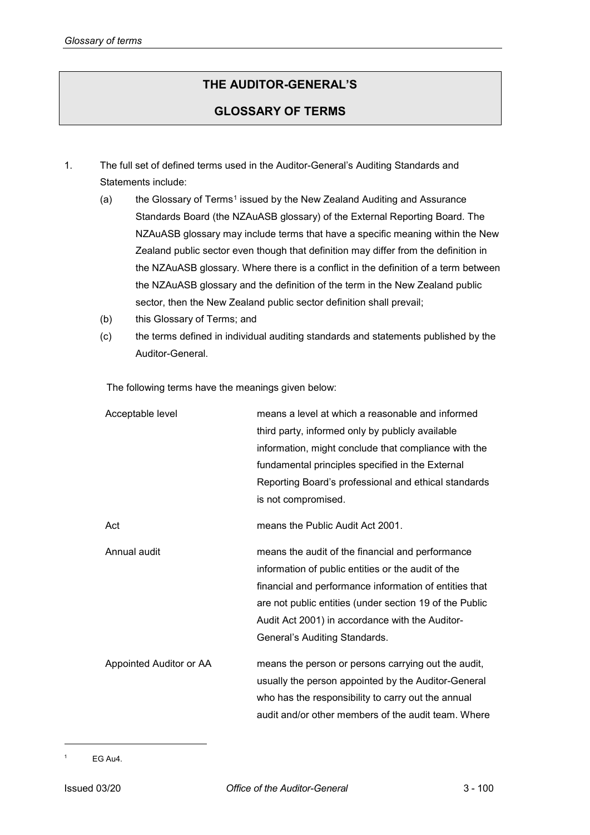## **THE AUDITOR-GENERAL'S**

## **GLOSSARY OF TERMS**

- 1. The full set of defined terms used in the Auditor-General's Auditing Standards and Statements include:
	- (a) the Glossary of Terms<sup>[1](#page-0-0)</sup> issued by the New Zealand Auditing and Assurance Standards Board (the NZAuASB glossary) of the External Reporting Board. The NZAuASB glossary may include terms that have a specific meaning within the New Zealand public sector even though that definition may differ from the definition in the NZAuASB glossary. Where there is a conflict in the definition of a term between the NZAuASB glossary and the definition of the term in the New Zealand public sector, then the New Zealand public sector definition shall prevail;
	- (b) this Glossary of Terms; and
	- (c) the terms defined in individual auditing standards and statements published by the Auditor-General.

The following terms have the meanings given below:

| Acceptable level        | means a level at which a reasonable and informed<br>third party, informed only by publicly available<br>information, might conclude that compliance with the<br>fundamental principles specified in the External<br>Reporting Board's professional and ethical standards<br>is not compromised.                 |
|-------------------------|-----------------------------------------------------------------------------------------------------------------------------------------------------------------------------------------------------------------------------------------------------------------------------------------------------------------|
| Act                     | means the Public Audit Act 2001.                                                                                                                                                                                                                                                                                |
| Annual audit            | means the audit of the financial and performance<br>information of public entities or the audit of the<br>financial and performance information of entities that<br>are not public entities (under section 19 of the Public<br>Audit Act 2001) in accordance with the Auditor-<br>General's Auditing Standards. |
| Appointed Auditor or AA | means the person or persons carrying out the audit,<br>usually the person appointed by the Auditor-General<br>who has the responsibility to carry out the annual<br>audit and/or other members of the audit team. Where                                                                                         |

<span id="page-0-0"></span> $1 \qquad \qquad$  FG Au4.

-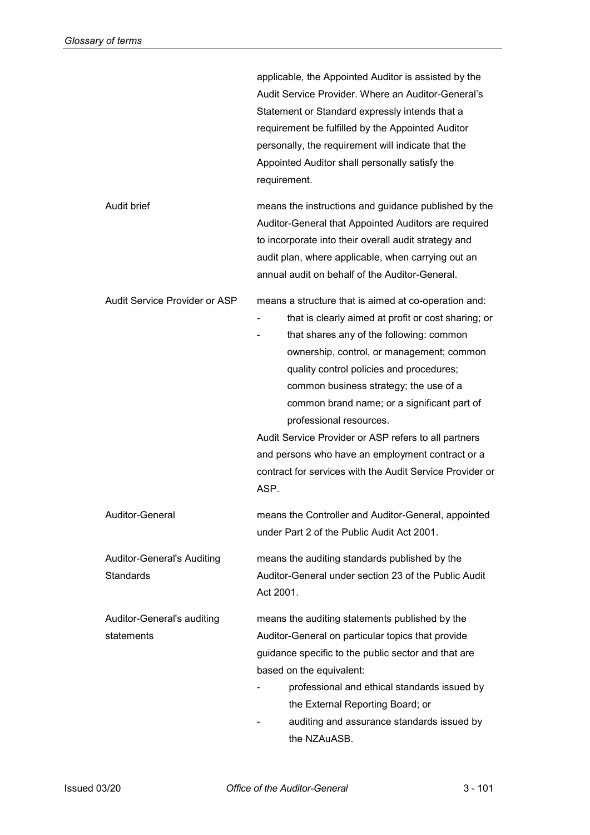|                                                       | applicable, the Appointed Auditor is assisted by the<br>Audit Service Provider. Where an Auditor-General's<br>Statement or Standard expressly intends that a<br>requirement be fulfilled by the Appointed Auditor<br>personally, the requirement will indicate that the<br>Appointed Auditor shall personally satisfy the<br>requirement.                                                                                                                                                                                                            |
|-------------------------------------------------------|------------------------------------------------------------------------------------------------------------------------------------------------------------------------------------------------------------------------------------------------------------------------------------------------------------------------------------------------------------------------------------------------------------------------------------------------------------------------------------------------------------------------------------------------------|
| Audit brief                                           | means the instructions and guidance published by the<br>Auditor-General that Appointed Auditors are required<br>to incorporate into their overall audit strategy and<br>audit plan, where applicable, when carrying out an<br>annual audit on behalf of the Auditor-General.                                                                                                                                                                                                                                                                         |
| Audit Service Provider or ASP                         | means a structure that is aimed at co-operation and:<br>that is clearly aimed at profit or cost sharing; or<br>that shares any of the following: common<br>ownership, control, or management; common<br>quality control policies and procedures;<br>common business strategy; the use of a<br>common brand name; or a significant part of<br>professional resources.<br>Audit Service Provider or ASP refers to all partners<br>and persons who have an employment contract or a<br>contract for services with the Audit Service Provider or<br>ASP. |
| Auditor-General                                       | means the Controller and Auditor-General, appointed<br>under Part 2 of the Public Audit Act 2001.                                                                                                                                                                                                                                                                                                                                                                                                                                                    |
| <b>Auditor-General's Auditing</b><br><b>Standards</b> | means the auditing standards published by the<br>Auditor-General under section 23 of the Public Audit<br>Act 2001.                                                                                                                                                                                                                                                                                                                                                                                                                                   |
| Auditor-General's auditing<br>statements              | means the auditing statements published by the<br>Auditor-General on particular topics that provide<br>guidance specific to the public sector and that are<br>based on the equivalent:<br>professional and ethical standards issued by<br>the External Reporting Board; or<br>auditing and assurance standards issued by<br>the NZAuASB.                                                                                                                                                                                                             |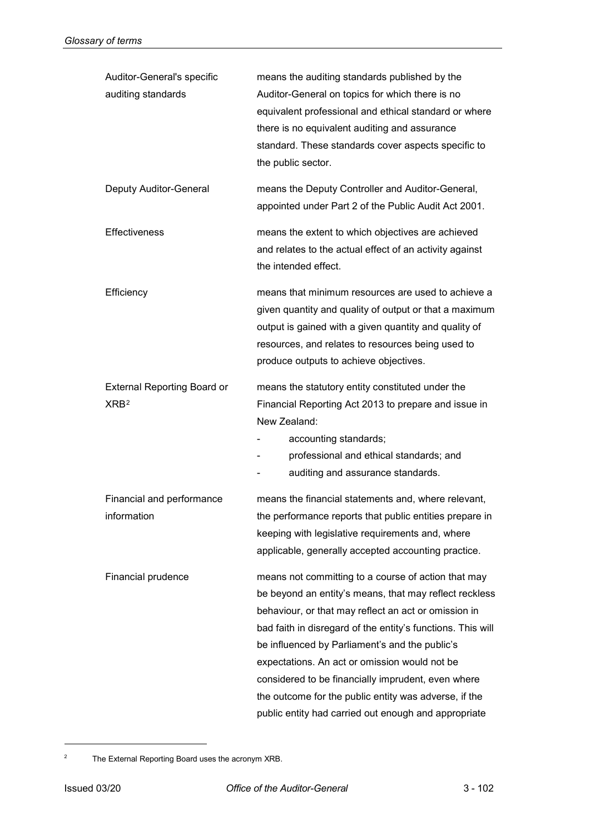| Auditor-General's specific<br>auditing standards       | means the auditing standards published by the<br>Auditor-General on topics for which there is no<br>equivalent professional and ethical standard or where<br>there is no equivalent auditing and assurance<br>standard. These standards cover aspects specific to<br>the public sector.                                                                                                                                                                                                                        |
|--------------------------------------------------------|----------------------------------------------------------------------------------------------------------------------------------------------------------------------------------------------------------------------------------------------------------------------------------------------------------------------------------------------------------------------------------------------------------------------------------------------------------------------------------------------------------------|
| Deputy Auditor-General                                 | means the Deputy Controller and Auditor-General,<br>appointed under Part 2 of the Public Audit Act 2001.                                                                                                                                                                                                                                                                                                                                                                                                       |
| <b>Effectiveness</b>                                   | means the extent to which objectives are achieved<br>and relates to the actual effect of an activity against<br>the intended effect.                                                                                                                                                                                                                                                                                                                                                                           |
| Efficiency                                             | means that minimum resources are used to achieve a<br>given quantity and quality of output or that a maximum<br>output is gained with a given quantity and quality of<br>resources, and relates to resources being used to<br>produce outputs to achieve objectives.                                                                                                                                                                                                                                           |
| <b>External Reporting Board or</b><br>XRB <sup>2</sup> | means the statutory entity constituted under the<br>Financial Reporting Act 2013 to prepare and issue in<br>New Zealand:<br>accounting standards;<br>professional and ethical standards; and<br>auditing and assurance standards.                                                                                                                                                                                                                                                                              |
| Financial and performance<br>information               | means the financial statements and, where relevant,<br>the performance reports that public entities prepare in<br>keeping with legislative requirements and, where<br>applicable, generally accepted accounting practice.                                                                                                                                                                                                                                                                                      |
| Financial prudence                                     | means not committing to a course of action that may<br>be beyond an entity's means, that may reflect reckless<br>behaviour, or that may reflect an act or omission in<br>bad faith in disregard of the entity's functions. This will<br>be influenced by Parliament's and the public's<br>expectations. An act or omission would not be<br>considered to be financially imprudent, even where<br>the outcome for the public entity was adverse, if the<br>public entity had carried out enough and appropriate |

<span id="page-2-0"></span><sup>2</sup> The External Reporting Board uses the acronym XRB.

-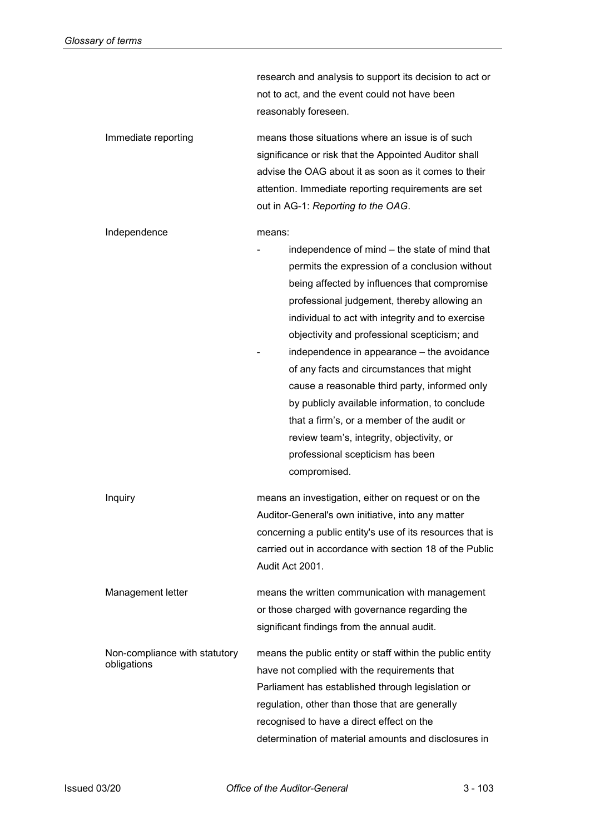|                                              | research and analysis to support its decision to act or<br>not to act, and the event could not have been<br>reasonably foreseen.                                                                                                                                                                                                                                                                                                                                                                                                                                                                                                                          |
|----------------------------------------------|-----------------------------------------------------------------------------------------------------------------------------------------------------------------------------------------------------------------------------------------------------------------------------------------------------------------------------------------------------------------------------------------------------------------------------------------------------------------------------------------------------------------------------------------------------------------------------------------------------------------------------------------------------------|
| Immediate reporting                          | means those situations where an issue is of such<br>significance or risk that the Appointed Auditor shall<br>advise the OAG about it as soon as it comes to their<br>attention. Immediate reporting requirements are set<br>out in AG-1: Reporting to the OAG.                                                                                                                                                                                                                                                                                                                                                                                            |
| Independence                                 | means:<br>independence of mind – the state of mind that<br>permits the expression of a conclusion without<br>being affected by influences that compromise<br>professional judgement, thereby allowing an<br>individual to act with integrity and to exercise<br>objectivity and professional scepticism; and<br>independence in appearance - the avoidance<br>of any facts and circumstances that might<br>cause a reasonable third party, informed only<br>by publicly available information, to conclude<br>that a firm's, or a member of the audit or<br>review team's, integrity, objectivity, or<br>professional scepticism has been<br>compromised. |
| Inquiry                                      | means an investigation, either on request or on the<br>Auditor-General's own initiative, into any matter<br>concerning a public entity's use of its resources that is<br>carried out in accordance with section 18 of the Public<br>Audit Act 2001.                                                                                                                                                                                                                                                                                                                                                                                                       |
| Management letter                            | means the written communication with management<br>or those charged with governance regarding the<br>significant findings from the annual audit.                                                                                                                                                                                                                                                                                                                                                                                                                                                                                                          |
| Non-compliance with statutory<br>obligations | means the public entity or staff within the public entity<br>have not complied with the requirements that<br>Parliament has established through legislation or<br>regulation, other than those that are generally<br>recognised to have a direct effect on the<br>determination of material amounts and disclosures in                                                                                                                                                                                                                                                                                                                                    |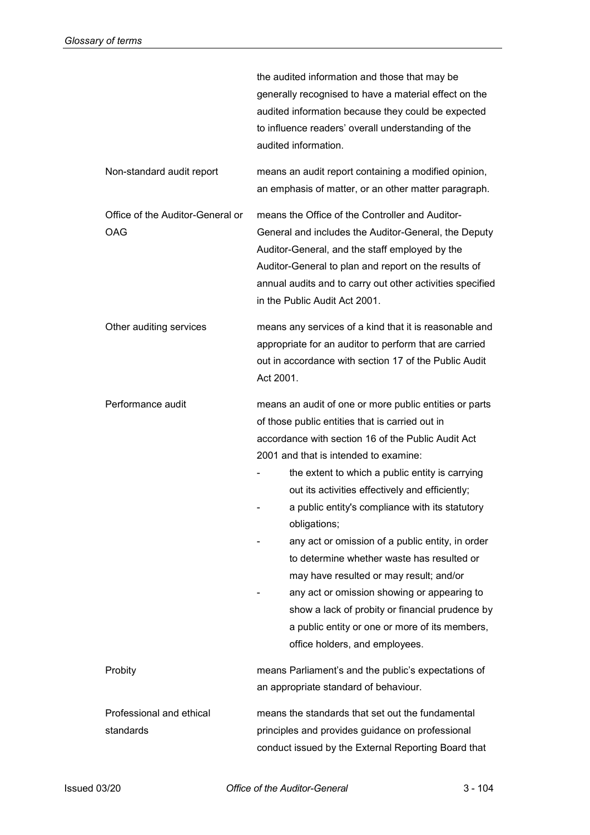|                                         | the audited information and those that may be<br>generally recognised to have a material effect on the<br>audited information because they could be expected<br>to influence readers' overall understanding of the<br>audited information.                                                                                                                                                                                                                                                                                                                                                                                                                                                                           |
|-----------------------------------------|----------------------------------------------------------------------------------------------------------------------------------------------------------------------------------------------------------------------------------------------------------------------------------------------------------------------------------------------------------------------------------------------------------------------------------------------------------------------------------------------------------------------------------------------------------------------------------------------------------------------------------------------------------------------------------------------------------------------|
| Non-standard audit report               | means an audit report containing a modified opinion,<br>an emphasis of matter, or an other matter paragraph.                                                                                                                                                                                                                                                                                                                                                                                                                                                                                                                                                                                                         |
| Office of the Auditor-General or<br>OAG | means the Office of the Controller and Auditor-<br>General and includes the Auditor-General, the Deputy<br>Auditor-General, and the staff employed by the<br>Auditor-General to plan and report on the results of<br>annual audits and to carry out other activities specified<br>in the Public Audit Act 2001.                                                                                                                                                                                                                                                                                                                                                                                                      |
| Other auditing services                 | means any services of a kind that it is reasonable and<br>appropriate for an auditor to perform that are carried<br>out in accordance with section 17 of the Public Audit<br>Act 2001.                                                                                                                                                                                                                                                                                                                                                                                                                                                                                                                               |
| Performance audit                       | means an audit of one or more public entities or parts<br>of those public entities that is carried out in<br>accordance with section 16 of the Public Audit Act<br>2001 and that is intended to examine:<br>the extent to which a public entity is carrying<br>out its activities effectively and efficiently;<br>a public entity's compliance with its statutory<br>obligations;<br>any act or omission of a public entity, in order<br>to determine whether waste has resulted or<br>may have resulted or may result; and/or<br>any act or omission showing or appearing to<br>show a lack of probity or financial prudence by<br>a public entity or one or more of its members,<br>office holders, and employees. |
| Probity                                 | means Parliament's and the public's expectations of<br>an appropriate standard of behaviour.                                                                                                                                                                                                                                                                                                                                                                                                                                                                                                                                                                                                                         |
| Professional and ethical<br>standards   | means the standards that set out the fundamental<br>principles and provides guidance on professional<br>conduct issued by the External Reporting Board that                                                                                                                                                                                                                                                                                                                                                                                                                                                                                                                                                          |